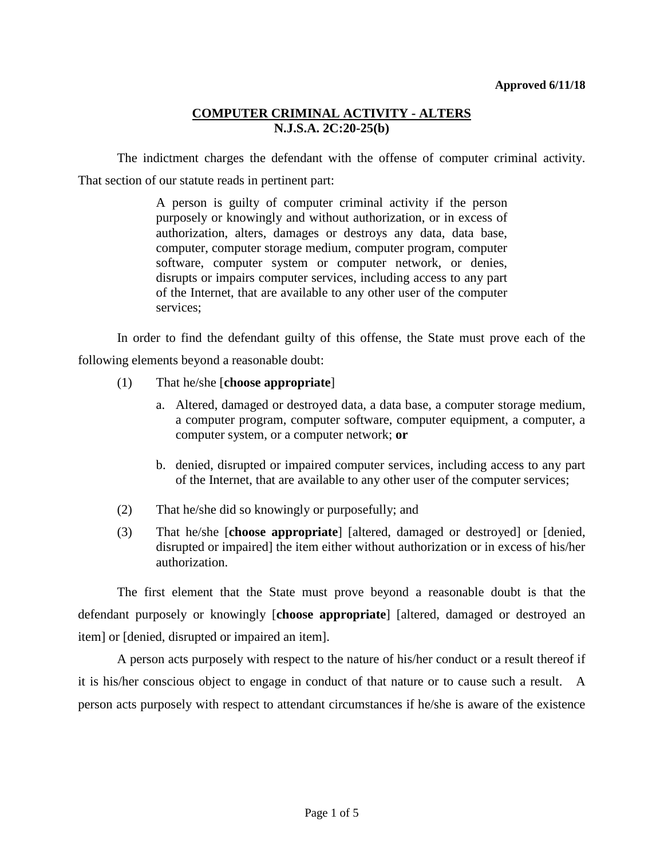The indictment charges the defendant with the offense of computer criminal activity. That section of our statute reads in pertinent part:

> A person is guilty of computer criminal activity if the person purposely or knowingly and without authorization, or in excess of authorization, alters, damages or destroys any data, data base, computer, computer storage medium, computer program, computer software, computer system or computer network, or denies, disrupts or impairs computer services, including access to any part of the Internet, that are available to any other user of the computer services;

In order to find the defendant guilty of this offense, the State must prove each of the following elements beyond a reasonable doubt:

- (1) That he/she [**choose appropriate**]
	- a. Altered, damaged or destroyed data, a data base, a computer storage medium, a computer program, computer software, computer equipment, a computer, a computer system, or a computer network; **or**
	- b. denied, disrupted or impaired computer services, including access to any part of the Internet, that are available to any other user of the computer services;
- (2) That he/she did so knowingly or purposefully; and
- (3) That he/she [**choose appropriate**] [altered, damaged or destroyed] or [denied, disrupted or impaired] the item either without authorization or in excess of his/her authorization.

The first element that the State must prove beyond a reasonable doubt is that the defendant purposely or knowingly [**choose appropriate**] [altered, damaged or destroyed an item] or [denied, disrupted or impaired an item].

A person acts purposely with respect to the nature of his/her conduct or a result thereof if it is his/her conscious object to engage in conduct of that nature or to cause such a result. A person acts purposely with respect to attendant circumstances if he/she is aware of the existence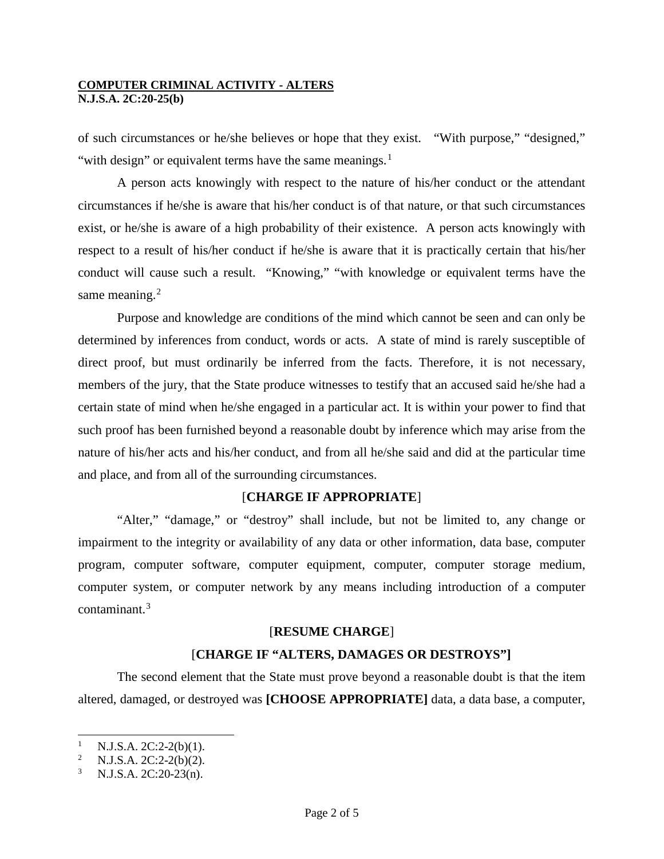of such circumstances or he/she believes or hope that they exist. "With purpose," "designed," "with design" or equivalent terms have the same meanings. $<sup>1</sup>$  $<sup>1</sup>$  $<sup>1</sup>$ </sup>

A person acts knowingly with respect to the nature of his/her conduct or the attendant circumstances if he/she is aware that his/her conduct is of that nature, or that such circumstances exist, or he/she is aware of a high probability of their existence. A person acts knowingly with respect to a result of his/her conduct if he/she is aware that it is practically certain that his/her conduct will cause such a result. "Knowing," "with knowledge or equivalent terms have the same meaning.<sup>[2](#page-1-1)</sup>

Purpose and knowledge are conditions of the mind which cannot be seen and can only be determined by inferences from conduct, words or acts. A state of mind is rarely susceptible of direct proof, but must ordinarily be inferred from the facts. Therefore, it is not necessary, members of the jury, that the State produce witnesses to testify that an accused said he/she had a certain state of mind when he/she engaged in a particular act. It is within your power to find that such proof has been furnished beyond a reasonable doubt by inference which may arise from the nature of his/her acts and his/her conduct, and from all he/she said and did at the particular time and place, and from all of the surrounding circumstances.

## [**CHARGE IF APPROPRIATE**]

"Alter," "damage," or "destroy" shall include, but not be limited to, any change or impairment to the integrity or availability of any data or other information, data base, computer program, computer software, computer equipment, computer, computer storage medium, computer system, or computer network by any means including introduction of a computer contaminant. [3](#page-1-2)

## [**RESUME CHARGE**]

## [**CHARGE IF "ALTERS, DAMAGES OR DESTROYS"]**

The second element that the State must prove beyond a reasonable doubt is that the item altered, damaged, or destroyed was **[CHOOSE APPROPRIATE]** data, a data base, a computer,

-

<span id="page-1-1"></span><span id="page-1-0"></span><sup>&</sup>lt;sup>1</sup> N.J.S.A. 2C:2-2(b)(1).<br><sup>2</sup> N.J.S.A. 2C:2-2(b)(2).

<sup>2</sup> N.J.S.A. 2C:2-2(b)(2).

<span id="page-1-2"></span><sup>3</sup> N.J.S.A. 2C:20-23(n).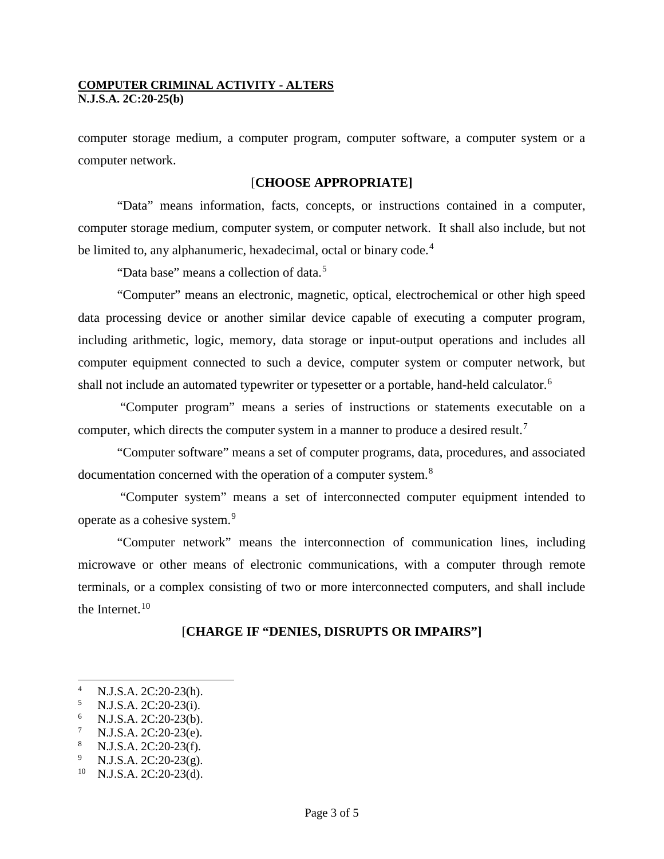computer storage medium, a computer program, computer software, a computer system or a computer network.

#### [**CHOOSE APPROPRIATE]**

"Data" means information, facts, concepts, or instructions contained in a computer, computer storage medium, computer system, or computer network. It shall also include, but not be limited to, any alphanumeric, hexadecimal, octal or binary code.<sup>[4](#page-2-0)</sup>

"Data base" means a collection of data.<sup>[5](#page-2-1)</sup>

"Computer" means an electronic, magnetic, optical, electrochemical or other high speed data processing device or another similar device capable of executing a computer program, including arithmetic, logic, memory, data storage or input-output operations and includes all computer equipment connected to such a device, computer system or computer network, but shall not include an automated typewriter or typesetter or a portable, hand-held calculator.<sup>[6](#page-2-2)</sup>

"Computer program" means a series of instructions or statements executable on a computer, which directs the computer system in a manner to produce a desired result.<sup>[7](#page-2-3)</sup>

"Computer software" means a set of computer programs, data, procedures, and associated documentation concerned with the operation of a computer system.<sup>[8](#page-2-4)</sup>

"Computer system" means a set of interconnected computer equipment intended to operate as a cohesive system.[9](#page-2-5)

"Computer network" means the interconnection of communication lines, including microwave or other means of electronic communications, with a computer through remote terminals, or a complex consisting of two or more interconnected computers, and shall include the Internet.<sup>[10](#page-2-6)</sup>

## [**CHARGE IF "DENIES, DISRUPTS OR IMPAIRS"]**

-

<span id="page-2-1"></span><span id="page-2-0"></span><sup>4</sup> N.J.S.A. 2C:20-23(h).<br>
<sup>5</sup> N.J.S.A. 2C:20-23(i).<br>
<sup>6</sup> N.J.S.A. 2C:20-23(b).<br>
<sup>7</sup> N.J.S.A. 2C:20-23(f).<br>
<sup>8</sup> N.J.S.A. 2C:20-23(g).<br>
<sup>9</sup> N.J.S.A. 2C:20-23(g).<br>
<sup>10</sup> N.J.S.A. 2C:20-23(d).

<span id="page-2-2"></span>

<span id="page-2-3"></span>

<span id="page-2-4"></span>

<span id="page-2-5"></span>

<span id="page-2-6"></span>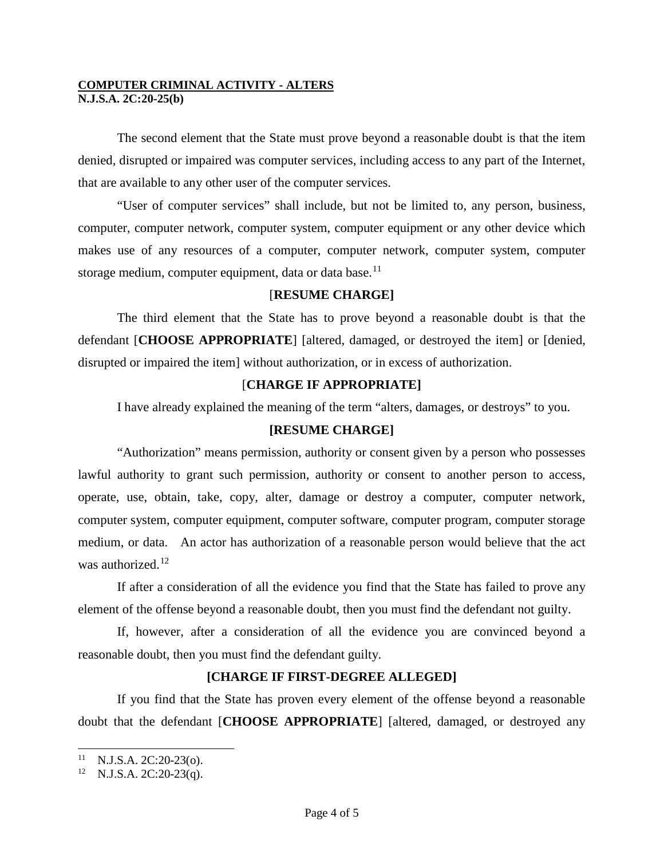The second element that the State must prove beyond a reasonable doubt is that the item denied, disrupted or impaired was computer services, including access to any part of the Internet, that are available to any other user of the computer services.

"User of computer services" shall include, but not be limited to, any person, business, computer, computer network, computer system, computer equipment or any other device which makes use of any resources of a computer, computer network, computer system, computer storage medium, computer equipment, data or data base.<sup>[11](#page-3-0)</sup>

# [**RESUME CHARGE]**

The third element that the State has to prove beyond a reasonable doubt is that the defendant [**CHOOSE APPROPRIATE**] [altered, damaged, or destroyed the item] or [denied, disrupted or impaired the item] without authorization, or in excess of authorization.

# [**CHARGE IF APPROPRIATE]**

I have already explained the meaning of the term "alters, damages, or destroys" to you.

## **[RESUME CHARGE]**

"Authorization" means permission, authority or consent given by a person who possesses lawful authority to grant such permission, authority or consent to another person to access, operate, use, obtain, take, copy, alter, damage or destroy a computer, computer network, computer system, computer equipment, computer software, computer program, computer storage medium, or data. An actor has authorization of a reasonable person would believe that the act was authorized.<sup>[12](#page-3-1)</sup>

If after a consideration of all the evidence you find that the State has failed to prove any element of the offense beyond a reasonable doubt, then you must find the defendant not guilty.

If, however, after a consideration of all the evidence you are convinced beyond a reasonable doubt, then you must find the defendant guilty.

## **[CHARGE IF FIRST-DEGREE ALLEGED]**

If you find that the State has proven every element of the offense beyond a reasonable doubt that the defendant [**CHOOSE APPROPRIATE**] [altered, damaged, or destroyed any

<span id="page-3-0"></span> $11$ <sup>11</sup> N.J.S.A. 2C:20-23(o).<br><sup>12</sup> N.J.S.A. 2C:20-23(q).

<span id="page-3-1"></span>